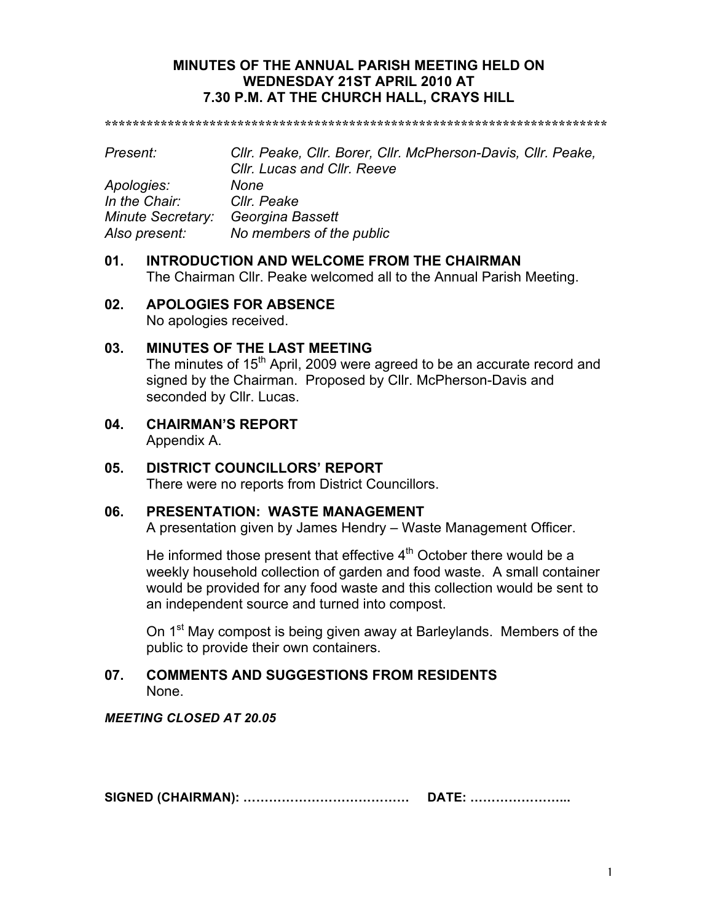### **MINUTES OF THE ANNUAL PARISH MEETING HELD ON WEDNESDAY 21ST APRIL 2010 AT 7.30 P.M. AT THE CHURCH HALL, CRAYS HILL**

**\*\*\*\*\*\*\*\*\*\*\*\*\*\*\*\*\*\*\*\*\*\*\*\*\*\*\*\*\*\*\*\*\*\*\*\*\*\*\*\*\*\*\*\*\*\*\*\*\*\*\*\*\*\*\*\*\*\*\*\*\*\*\*\*\*\*\*\*\*\*\*\***

| Present:                 | Cllr. Peake, Cllr. Borer, Cllr. McPherson-Davis, Cllr. Peake,<br><b>CIIr. Lucas and CIIr. Reeve</b> |
|--------------------------|-----------------------------------------------------------------------------------------------------|
| Apologies:               | <b>None</b>                                                                                         |
| In the Chair:            | Cllr. Peake                                                                                         |
| <b>Minute Secretary:</b> | Georgina Bassett                                                                                    |
| Also present:            | No members of the public                                                                            |

# **01. INTRODUCTION AND WELCOME FROM THE CHAIRMAN**

The Chairman Cllr. Peake welcomed all to the Annual Parish Meeting.

### **02. APOLOGIES FOR ABSENCE**

No apologies received.

### **03. MINUTES OF THE LAST MEETING**

The minutes of  $15<sup>th</sup>$  April, 2009 were agreed to be an accurate record and signed by the Chairman. Proposed by Cllr. McPherson-Davis and seconded by Cllr. Lucas.

**04. CHAIRMAN'S REPORT** Appendix A.

### **05. DISTRICT COUNCILLORS' REPORT** There were no reports from District Councillors.

## **06. PRESENTATION: WASTE MANAGEMENT**

A presentation given by James Hendry – Waste Management Officer.

He informed those present that effective  $4<sup>th</sup>$  October there would be a weekly household collection of garden and food waste. A small container would be provided for any food waste and this collection would be sent to an independent source and turned into compost.

On 1<sup>st</sup> May compost is being given away at Barleylands. Members of the public to provide their own containers.

### **07. COMMENTS AND SUGGESTIONS FROM RESIDENTS** None.

*MEETING CLOSED AT 20.05*

**SIGNED (CHAIRMAN): ………………………………… DATE: …………………...**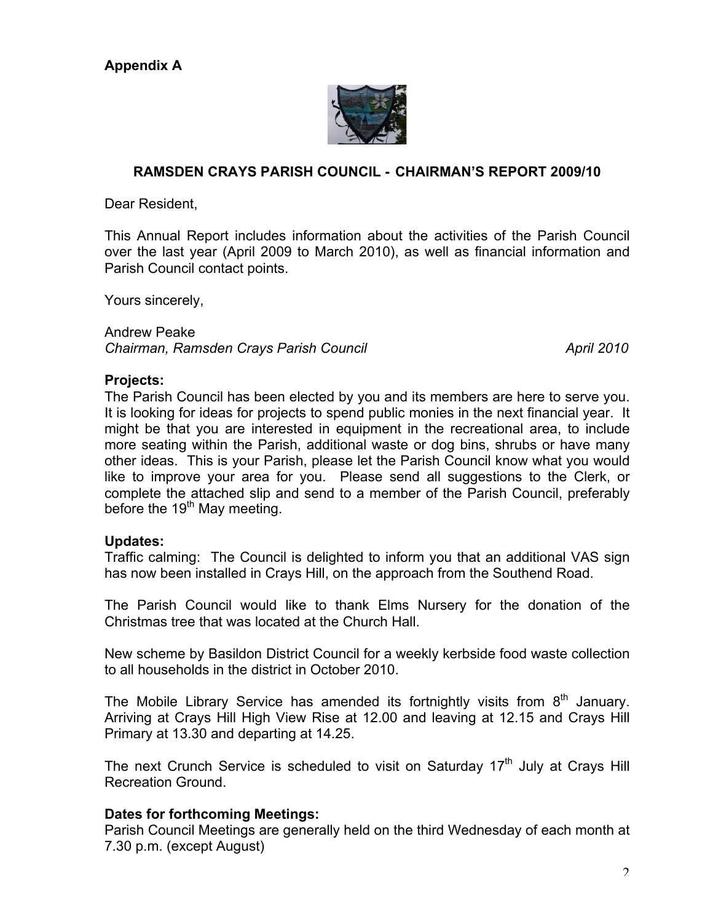

## **RAMSDEN CRAYS PARISH COUNCIL - CHAIRMAN'S REPORT 2009/10**

Dear Resident,

This Annual Report includes information about the activities of the Parish Council over the last year (April 2009 to March 2010), as well as financial information and Parish Council contact points.

Yours sincerely,

Andrew Peake *Chairman, Ramsden Crays Parish Council April 2010*

#### **Projects:**

The Parish Council has been elected by you and its members are here to serve you. It is looking for ideas for projects to spend public monies in the next financial year. It might be that you are interested in equipment in the recreational area, to include more seating within the Parish, additional waste or dog bins, shrubs or have many other ideas. This is your Parish, please let the Parish Council know what you would like to improve your area for you. Please send all suggestions to the Clerk, or complete the attached slip and send to a member of the Parish Council, preferably before the  $19<sup>th</sup>$  May meeting.

#### **Updates:**

Traffic calming: The Council is delighted to inform you that an additional VAS sign has now been installed in Crays Hill, on the approach from the Southend Road.

The Parish Council would like to thank Elms Nursery for the donation of the Christmas tree that was located at the Church Hall.

New scheme by Basildon District Council for a weekly kerbside food waste collection to all households in the district in October 2010.

The Mobile Library Service has amended its fortnightly visits from  $8<sup>th</sup>$  January. Arriving at Crays Hill High View Rise at 12.00 and leaving at 12.15 and Crays Hill Primary at 13.30 and departing at 14.25.

The next Crunch Service is scheduled to visit on Saturday  $17<sup>th</sup>$  July at Crays Hill Recreation Ground.

## **Dates for forthcoming Meetings:**

Parish Council Meetings are generally held on the third Wednesday of each month at 7.30 p.m. (except August)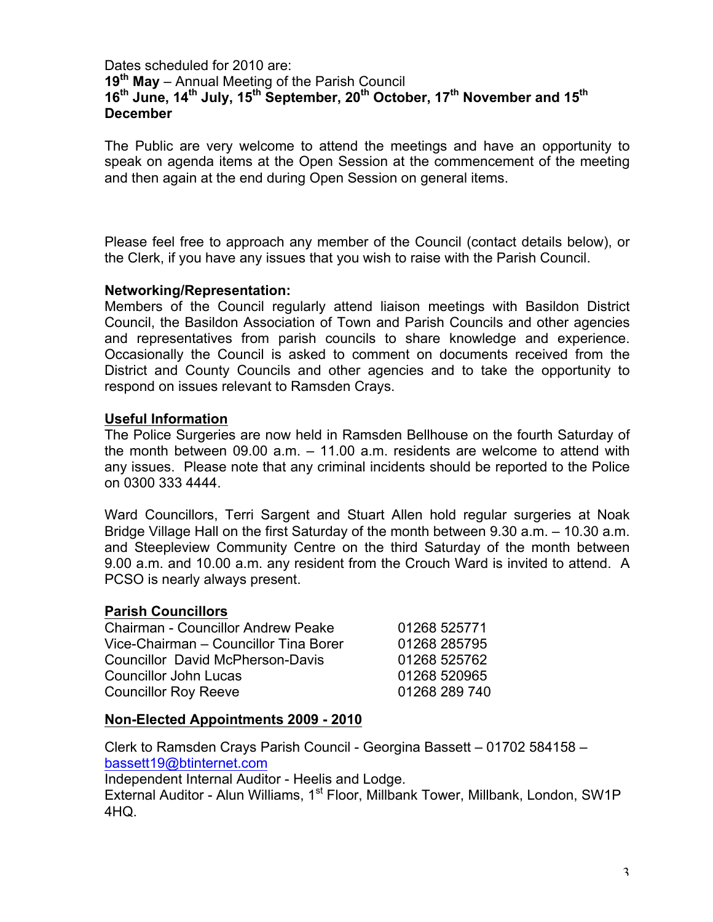## Dates scheduled for 2010 are: **19th May** – Annual Meeting of the Parish Council **16th June, 14th July, 15th September, 20th October, 17th November and 15th December**

The Public are very welcome to attend the meetings and have an opportunity to speak on agenda items at the Open Session at the commencement of the meeting and then again at the end during Open Session on general items.

Please feel free to approach any member of the Council (contact details below), or the Clerk, if you have any issues that you wish to raise with the Parish Council.

### **Networking/Representation:**

Members of the Council regularly attend liaison meetings with Basildon District Council, the Basildon Association of Town and Parish Councils and other agencies and representatives from parish councils to share knowledge and experience. Occasionally the Council is asked to comment on documents received from the District and County Councils and other agencies and to take the opportunity to respond on issues relevant to Ramsden Crays.

## **Useful Information**

The Police Surgeries are now held in Ramsden Bellhouse on the fourth Saturday of the month between 09.00 a.m. – 11.00 a.m. residents are welcome to attend with any issues. Please note that any criminal incidents should be reported to the Police on 0300 333 4444.

Ward Councillors, Terri Sargent and Stuart Allen hold regular surgeries at Noak Bridge Village Hall on the first Saturday of the month between 9.30 a.m. – 10.30 a.m. and Steepleview Community Centre on the third Saturday of the month between 9.00 a.m. and 10.00 a.m. any resident from the Crouch Ward is invited to attend. A PCSO is nearly always present.

## **Parish Councillors**

| <b>Chairman - Councillor Andrew Peake</b> | 01268 525771  |
|-------------------------------------------|---------------|
| Vice-Chairman - Councillor Tina Borer     | 01268 285795  |
| <b>Councillor David McPherson-Davis</b>   | 01268 525762  |
| <b>Councillor John Lucas</b>              | 01268 520965  |
| <b>Councillor Roy Reeve</b>               | 01268 289 740 |

## **Non-Elected Appointments 2009 - 2010**

Clerk to Ramsden Crays Parish Council - Georgina Bassett – 01702 584158 – bassett19@btinternet.com

Independent Internal Auditor - Heelis and Lodge.

External Auditor - Alun Williams, 1<sup>st</sup> Floor, Millbank Tower, Millbank, London, SW1P 4HQ.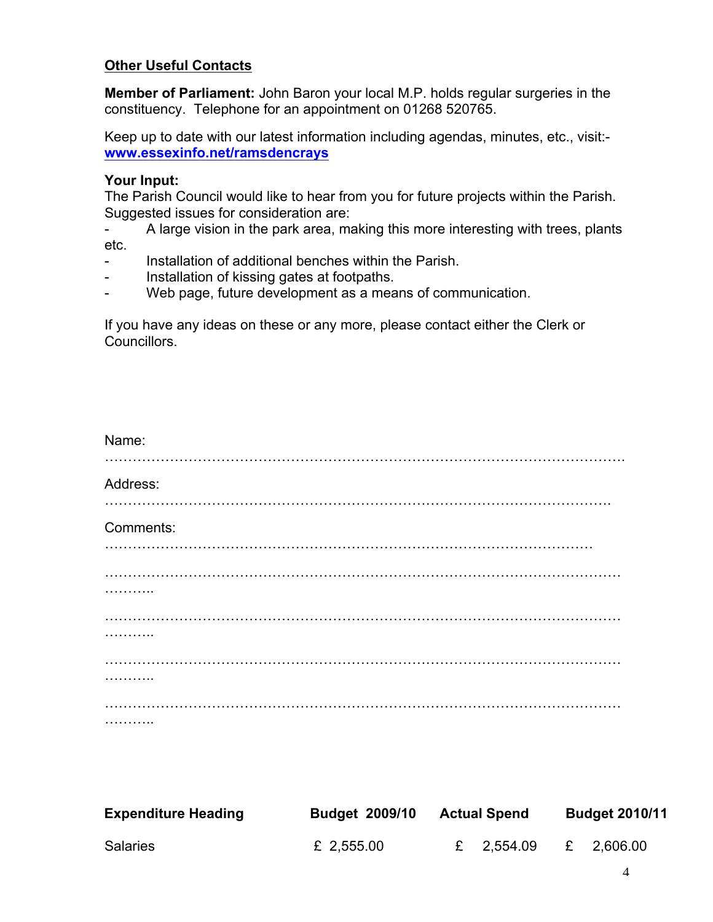## **Other Useful Contacts**

**Member of Parliament:** John Baron your local M.P. holds regular surgeries in the constituency. Telephone for an appointment on 01268 520765.

Keep up to date with our latest information including agendas, minutes, etc., visit: **www.essexinfo.net/ramsdencrays**

# **Your Input:**

The Parish Council would like to hear from you for future projects within the Parish. Suggested issues for consideration are:

- A large vision in the park area, making this more interesting with trees, plants etc.

- Installation of additional benches within the Parish.
- Installation of kissing gates at footpaths.
- Web page, future development as a means of communication.

If you have any ideas on these or any more, please contact either the Clerk or Councillors.

| Name:      |
|------------|
| Address:   |
| Comments:  |
|            |
|            |
| .          |
|            |
|            |
| . <b>.</b> |

| <b>Expenditure Heading</b> | <b>Budget 2009/10</b> | <b>Actual Spend</b> | <b>Budget 2010/11</b> |  |  |
|----------------------------|-----------------------|---------------------|-----------------------|--|--|
| <b>Salaries</b>            | £ 2,555.00            | £ 2,554.09          | £ 2,606.00            |  |  |